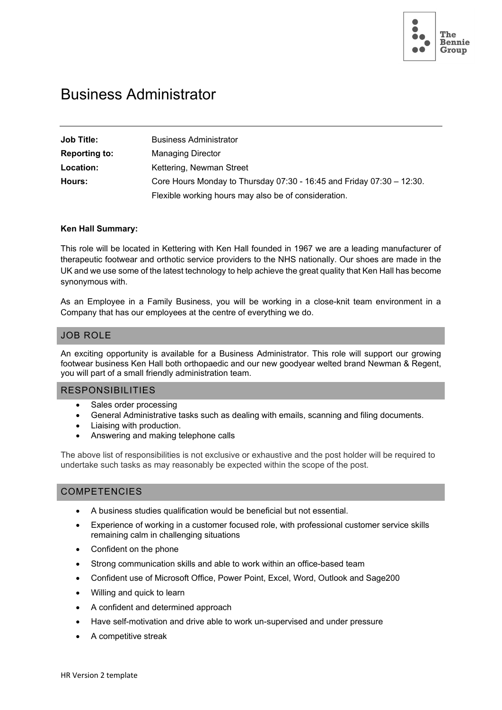

# Business Administrator

| <b>Job Title:</b>    | <b>Business Administrator</b>                                         |
|----------------------|-----------------------------------------------------------------------|
| <b>Reporting to:</b> | <b>Managing Director</b>                                              |
| Location:            | Kettering, Newman Street                                              |
| Hours:               | Core Hours Monday to Thursday 07:30 - 16:45 and Friday 07:30 - 12:30. |
|                      | Flexible working hours may also be of consideration.                  |

#### **Ken Hall Summary:**

This role will be located in Kettering with Ken Hall founded in 1967 we are a leading manufacturer of therapeutic footwear and orthotic service providers to the NHS nationally. Our shoes are made in the UK and we use some of the latest technology to help achieve the great quality that Ken Hall has become synonymous with.

As an Employee in a Family Business, you will be working in a close-knit team environment in a Company that has our employees at the centre of everything we do.

### JOB ROLE

An exciting opportunity is available for a Business Administrator. This role will support our growing footwear business Ken Hall both orthopaedic and our new goodyear welted brand Newman & Regent, you will part of a small friendly administration team.

#### RESPONSIBILITIES

- Sales order processing
- General Administrative tasks such as dealing with emails, scanning and filing documents.
- Liaising with production.
- Answering and making telephone calls

The above list of responsibilities is not exclusive or exhaustive and the post holder will be required to undertake such tasks as may reasonably be expected within the scope of the post.

#### COMPETENCIES

- A business studies qualification would be beneficial but not essential.
- Experience of working in a customer focused role, with professional customer service skills remaining calm in challenging situations
- Confident on the phone
- Strong communication skills and able to work within an office-based team
- Confident use of Microsoft Office, Power Point, Excel, Word, Outlook and Sage200
- Willing and quick to learn
- A confident and determined approach
- Have self-motivation and drive able to work un-supervised and under pressure
- A competitive streak